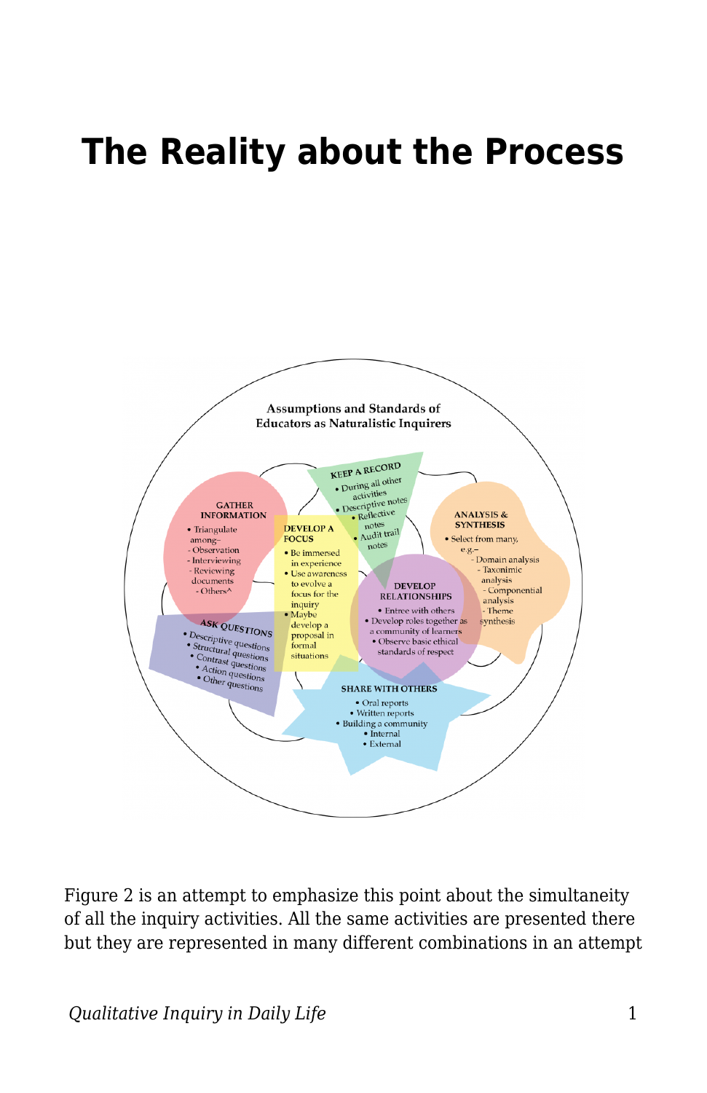## **The Reality about the Process**



Figure 2 is an attempt to emphasize this point about the simultaneity of all the inquiry activities. All the same activities are presented there but they are represented in many different combinations in an attempt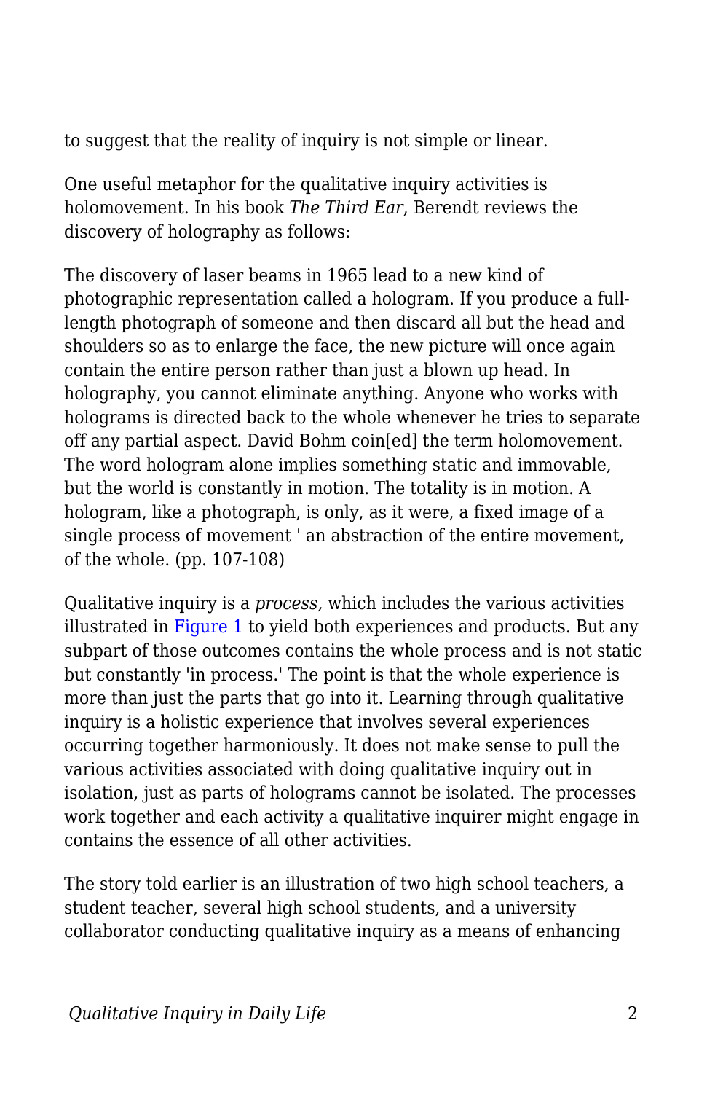to suggest that the reality of inquiry is not simple or linear.

One useful metaphor for the qualitative inquiry activities is holomovement. In his book *The Third Ear*, Berendt reviews the discovery of holography as follows:

The discovery of laser beams in 1965 lead to a new kind of photographic representation called a hologram. If you produce a fulllength photograph of someone and then discard all but the head and shoulders so as to enlarge the face, the new picture will once again contain the entire person rather than just a blown up head. In holography, you cannot eliminate anything. Anyone who works with holograms is directed back to the whole whenever he tries to separate off any partial aspect. David Bohm coin[ed] the term holomovement. The word hologram alone implies something static and immovable, but the world is constantly in motion. The totality is in motion. A hologram, like a photograph, is only, as it were, a fixed image of a single process of movement ' an abstraction of the entire movement, of the whole. (pp. 107-108)

Qualitative inquiry is a *process,* which includes the various activities illustrated in  $Figure 1$  to yield both experiences and products. But any subpart of those outcomes contains the whole process and is not static but constantly 'in process.' The point is that the whole experience is more than just the parts that go into it. Learning through qualitative inquiry is a holistic experience that involves several experiences occurring together harmoniously. It does not make sense to pull the various activities associated with doing qualitative inquiry out in isolation, just as parts of holograms cannot be isolated. The processes work together and each activity a qualitative inquirer might engage in contains the essence of all other activities.

The story told earlier is an illustration of two high school teachers, a student teacher, several high school students, and a university collaborator conducting qualitative inquiry as a means of enhancing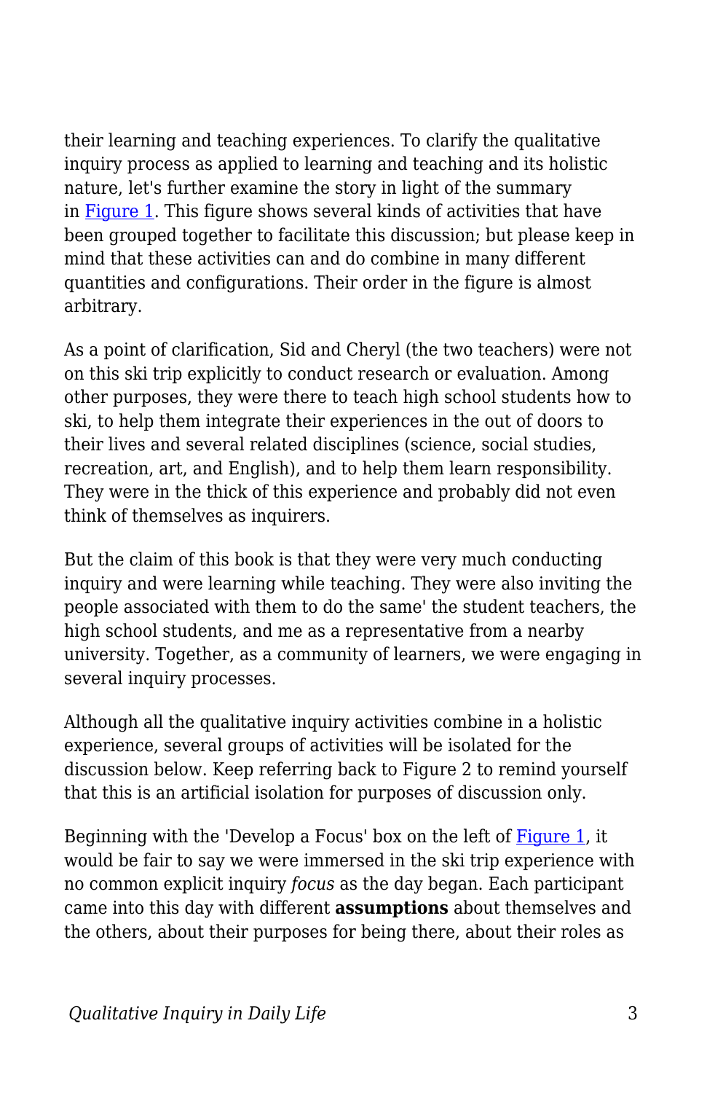their learning and teaching experiences. To clarify the qualitative inquiry process as applied to learning and teaching and its holistic nature, let's further examine the story in light of the summary in [Figure 1](https://edtechbooks.org/qualitativeinquiry/process). This figure shows several kinds of activities that have been grouped together to facilitate this discussion; but please keep in mind that these activities can and do combine in many different quantities and configurations. Their order in the figure is almost arbitrary.

As a point of clarification, Sid and Cheryl (the two teachers) were not on this ski trip explicitly to conduct research or evaluation. Among other purposes, they were there to teach high school students how to ski, to help them integrate their experiences in the out of doors to their lives and several related disciplines (science, social studies, recreation, art, and English), and to help them learn responsibility. They were in the thick of this experience and probably did not even think of themselves as inquirers.

But the claim of this book is that they were very much conducting inquiry and were learning while teaching. They were also inviting the people associated with them to do the same' the student teachers, the high school students, and me as a representative from a nearby university. Together, as a community of learners, we were engaging in several inquiry processes.

Although all the qualitative inquiry activities combine in a holistic experience, several groups of activities will be isolated for the discussion below. Keep referring back to Figure 2 to remind yourself that this is an artificial isolation for purposes of discussion only.

Beginning with the 'Develop a Focus' box on the left of [Figure 1](https://edtechbooks.org/qualitativeinquiry/process), it would be fair to say we were immersed in the ski trip experience with no common explicit inquiry *focus* as the day began. Each participant came into this day with different **assumptions** about themselves and the others, about their purposes for being there, about their roles as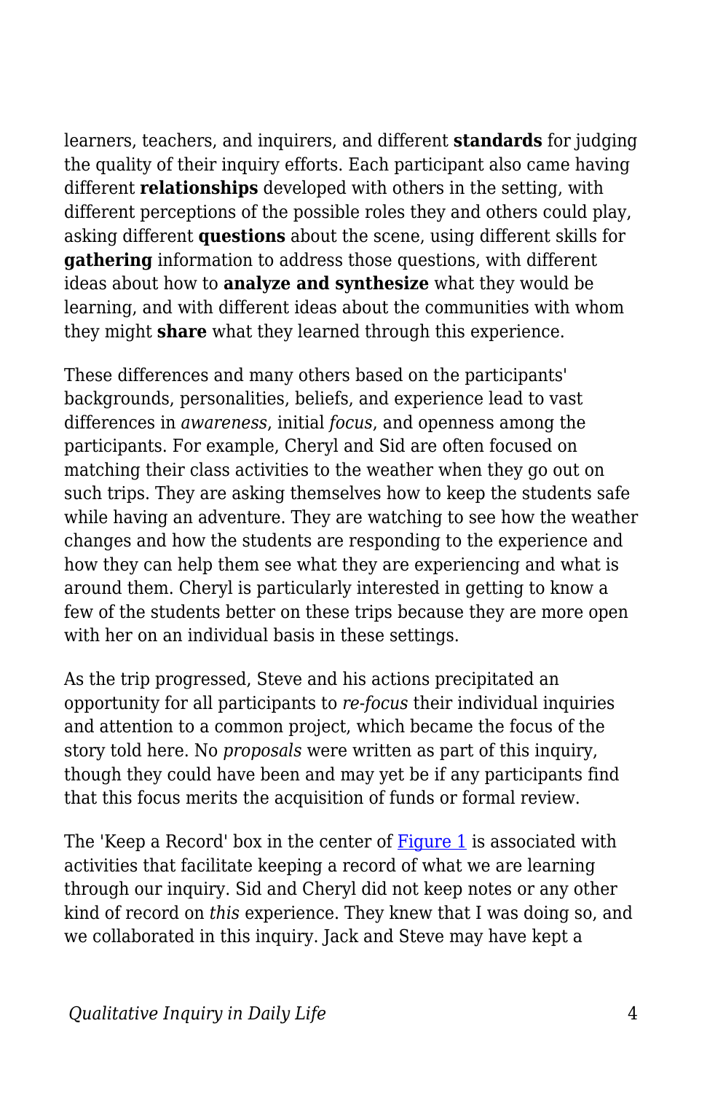learners, teachers, and inquirers, and different **standards** for judging the quality of their inquiry efforts. Each participant also came having different **relationships** developed with others in the setting, with different perceptions of the possible roles they and others could play, asking different **questions** about the scene, using different skills for **gathering** information to address those questions, with different ideas about how to **analyze and synthesize** what they would be learning, and with different ideas about the communities with whom they might **share** what they learned through this experience.

These differences and many others based on the participants' backgrounds, personalities, beliefs, and experience lead to vast differences in *awareness*, initial *focus*, and openness among the participants. For example, Cheryl and Sid are often focused on matching their class activities to the weather when they go out on such trips. They are asking themselves how to keep the students safe while having an adventure. They are watching to see how the weather changes and how the students are responding to the experience and how they can help them see what they are experiencing and what is around them. Cheryl is particularly interested in getting to know a few of the students better on these trips because they are more open with her on an individual basis in these settings.

As the trip progressed, Steve and his actions precipitated an opportunity for all participants to *re-focus* their individual inquiries and attention to a common project, which became the focus of the story told here. No *proposals* were written as part of this inquiry, though they could have been and may yet be if any participants find that this focus merits the acquisition of funds or formal review.

The 'Keep a Record' box in the center of [Figure 1](https://edtechbooks.org/qualitativeinquiry/process) is associated with activities that facilitate keeping a record of what we are learning through our inquiry. Sid and Cheryl did not keep notes or any other kind of record on *this* experience. They knew that I was doing so, and we collaborated in this inquiry. Jack and Steve may have kept a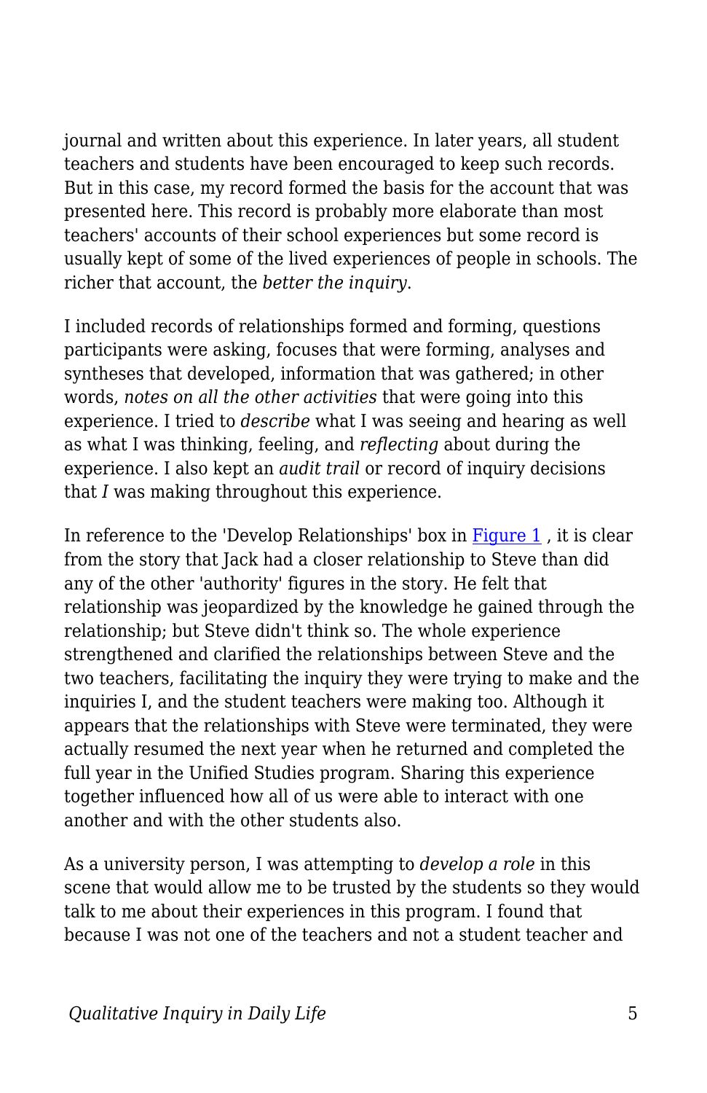journal and written about this experience. In later years, all student teachers and students have been encouraged to keep such records. But in this case, my record formed the basis for the account that was presented here. This record is probably more elaborate than most teachers' accounts of their school experiences but some record is usually kept of some of the lived experiences of people in schools. The richer that account, the *better the inquiry*.

I included records of relationships formed and forming, questions participants were asking, focuses that were forming, analyses and syntheses that developed, information that was gathered; in other words, *notes on all the other activities* that were going into this experience. I tried to *describe* what I was seeing and hearing as well as what I was thinking, feeling, and *reflecting* about during the experience. I also kept an *audit trail* or record of inquiry decisions that *I* was making throughout this experience.

In reference to the 'Develop Relationships' box in  $Figure 1$ , it is clear from the story that Jack had a closer relationship to Steve than did any of the other 'authority' figures in the story. He felt that relationship was jeopardized by the knowledge he gained through the relationship; but Steve didn't think so. The whole experience strengthened and clarified the relationships between Steve and the two teachers, facilitating the inquiry they were trying to make and the inquiries I, and the student teachers were making too. Although it appears that the relationships with Steve were terminated, they were actually resumed the next year when he returned and completed the full year in the Unified Studies program. Sharing this experience together influenced how all of us were able to interact with one another and with the other students also.

As a university person, I was attempting to *develop a role* in this scene that would allow me to be trusted by the students so they would talk to me about their experiences in this program. I found that because I was not one of the teachers and not a student teacher and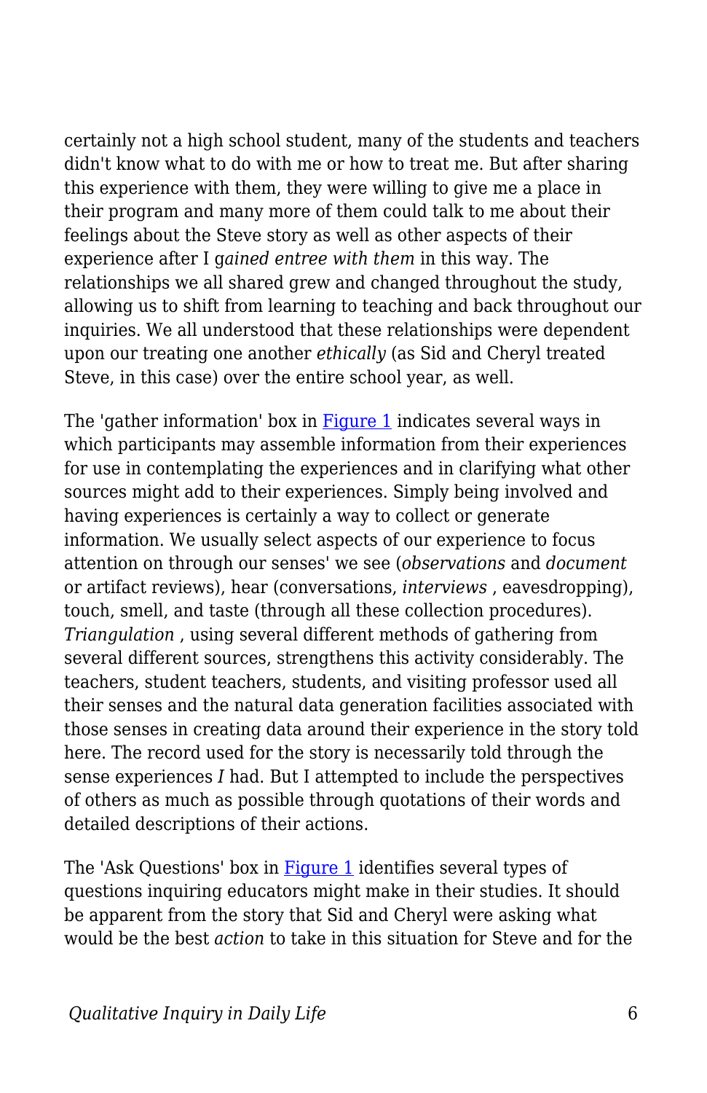certainly not a high school student, many of the students and teachers didn't know what to do with me or how to treat me. But after sharing this experience with them, they were willing to give me a place in their program and many more of them could talk to me about their feelings about the Steve story as well as other aspects of their experience after I g*ained entree with them* in this way. The relationships we all shared grew and changed throughout the study, allowing us to shift from learning to teaching and back throughout our inquiries. We all understood that these relationships were dependent upon our treating one another *ethically* (as Sid and Cheryl treated Steve, in this case) over the entire school year, as well.

The 'gather information' box in [Figure 1](https://edtechbooks.org/qualitativeinquiry/process) indicates several ways in which participants may assemble information from their experiences for use in contemplating the experiences and in clarifying what other sources might add to their experiences. Simply being involved and having experiences is certainly a way to collect or generate information. We usually select aspects of our experience to focus attention on through our senses' we see (*observations* and *document* or artifact reviews), hear (conversations, *interviews* , eavesdropping), touch, smell, and taste (through all these collection procedures). *Triangulation* , using several different methods of gathering from several different sources, strengthens this activity considerably. The teachers, student teachers, students, and visiting professor used all their senses and the natural data generation facilities associated with those senses in creating data around their experience in the story told here. The record used for the story is necessarily told through the sense experiences *I* had. But I attempted to include the perspectives of others as much as possible through quotations of their words and detailed descriptions of their actions.

The 'Ask Questions' box in [Figure 1](https://edtechbooks.org/qualitativeinquiry/process) identifies several types of questions inquiring educators might make in their studies. It should be apparent from the story that Sid and Cheryl were asking what would be the best *action* to take in this situation for Steve and for the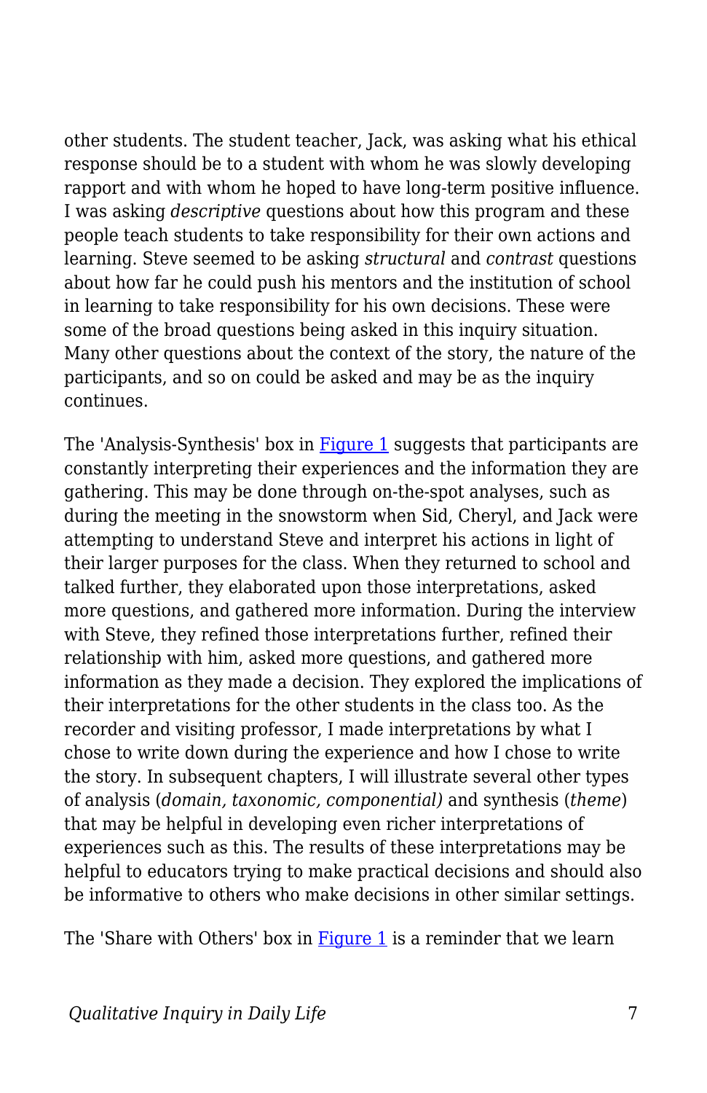other students. The student teacher, Jack, was asking what his ethical response should be to a student with whom he was slowly developing rapport and with whom he hoped to have long-term positive influence. I was asking *descriptive* questions about how this program and these people teach students to take responsibility for their own actions and learning. Steve seemed to be asking *structural* and *contrast* questions about how far he could push his mentors and the institution of school in learning to take responsibility for his own decisions. These were some of the broad questions being asked in this inquiry situation. Many other questions about the context of the story, the nature of the participants, and so on could be asked and may be as the inquiry continues.

The 'Analysis-Synthesis' box in **Figure 1** suggests that participants are constantly interpreting their experiences and the information they are gathering. This may be done through on-the-spot analyses, such as during the meeting in the snowstorm when Sid, Cheryl, and Jack were attempting to understand Steve and interpret his actions in light of their larger purposes for the class. When they returned to school and talked further, they elaborated upon those interpretations, asked more questions, and gathered more information. During the interview with Steve, they refined those interpretations further, refined their relationship with him, asked more questions, and gathered more information as they made a decision. They explored the implications of their interpretations for the other students in the class too. As the recorder and visiting professor, I made interpretations by what I chose to write down during the experience and how I chose to write the story. In subsequent chapters, I will illustrate several other types of analysis (*domain, taxonomic, componential)* and synthesis (*theme*) that may be helpful in developing even richer interpretations of experiences such as this. The results of these interpretations may be helpful to educators trying to make practical decisions and should also be informative to others who make decisions in other similar settings.

The 'Share with Others' box in [Figure 1](https://edtechbooks.org/qualitativeinquiry/process) is a reminder that we learn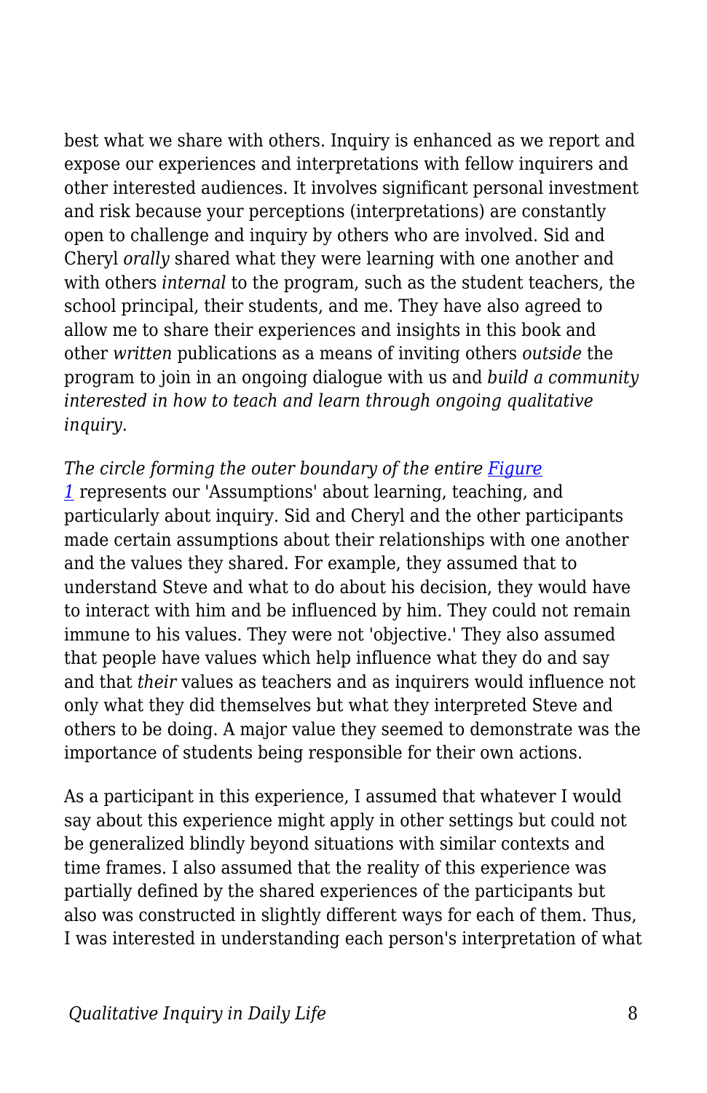best what we share with others. Inquiry is enhanced as we report and expose our experiences and interpretations with fellow inquirers and other interested audiences. It involves significant personal investment and risk because your perceptions (interpretations) are constantly open to challenge and inquiry by others who are involved. Sid and Cheryl *orally* shared what they were learning with one another and with others *internal* to the program, such as the student teachers, the school principal, their students, and me. They have also agreed to allow me to share their experiences and insights in this book and other *written* publications as a means of inviting others *outside* the program to join in an ongoing dialogue with us and *build a community interested in how to teach and learn through ongoing qualitative inquiry.*

*The circle forming the outer boundary of the entire [Figure](https://edtechbooks.org/qualitativeinquiry/process)*

*[1](https://edtechbooks.org/qualitativeinquiry/process)* represents our 'Assumptions' about learning, teaching, and particularly about inquiry. Sid and Cheryl and the other participants made certain assumptions about their relationships with one another and the values they shared. For example, they assumed that to understand Steve and what to do about his decision, they would have to interact with him and be influenced by him. They could not remain immune to his values. They were not 'objective.' They also assumed that people have values which help influence what they do and say and that *their* values as teachers and as inquirers would influence not only what they did themselves but what they interpreted Steve and others to be doing. A major value they seemed to demonstrate was the importance of students being responsible for their own actions.

As a participant in this experience, I assumed that whatever I would say about this experience might apply in other settings but could not be generalized blindly beyond situations with similar contexts and time frames. I also assumed that the reality of this experience was partially defined by the shared experiences of the participants but also was constructed in slightly different ways for each of them. Thus, I was interested in understanding each person's interpretation of what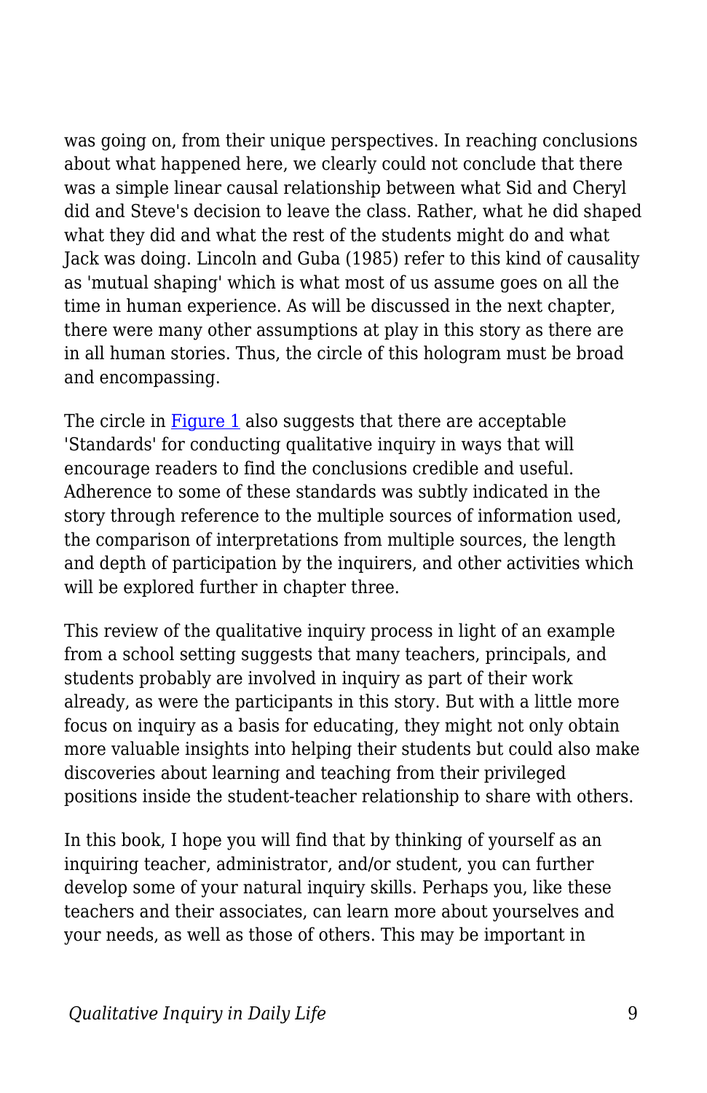was going on, from their unique perspectives. In reaching conclusions about what happened here, we clearly could not conclude that there was a simple linear causal relationship between what Sid and Cheryl did and Steve's decision to leave the class. Rather, what he did shaped what they did and what the rest of the students might do and what Jack was doing. Lincoln and Guba (1985) refer to this kind of causality as 'mutual shaping' which is what most of us assume goes on all the time in human experience. As will be discussed in the next chapter, there were many other assumptions at play in this story as there are in all human stories. Thus, the circle of this hologram must be broad and encompassing.

The circle in [Figure 1](https://edtechbooks.org/qualitativeinquiry/process) also suggests that there are acceptable 'Standards' for conducting qualitative inquiry in ways that will encourage readers to find the conclusions credible and useful. Adherence to some of these standards was subtly indicated in the story through reference to the multiple sources of information used, the comparison of interpretations from multiple sources, the length and depth of participation by the inquirers, and other activities which will be explored further in chapter three.

This review of the qualitative inquiry process in light of an example from a school setting suggests that many teachers, principals, and students probably are involved in inquiry as part of their work already, as were the participants in this story. But with a little more focus on inquiry as a basis for educating, they might not only obtain more valuable insights into helping their students but could also make discoveries about learning and teaching from their privileged positions inside the student-teacher relationship to share with others.

In this book, I hope you will find that by thinking of yourself as an inquiring teacher, administrator, and/or student, you can further develop some of your natural inquiry skills. Perhaps you, like these teachers and their associates, can learn more about yourselves and your needs, as well as those of others. This may be important in